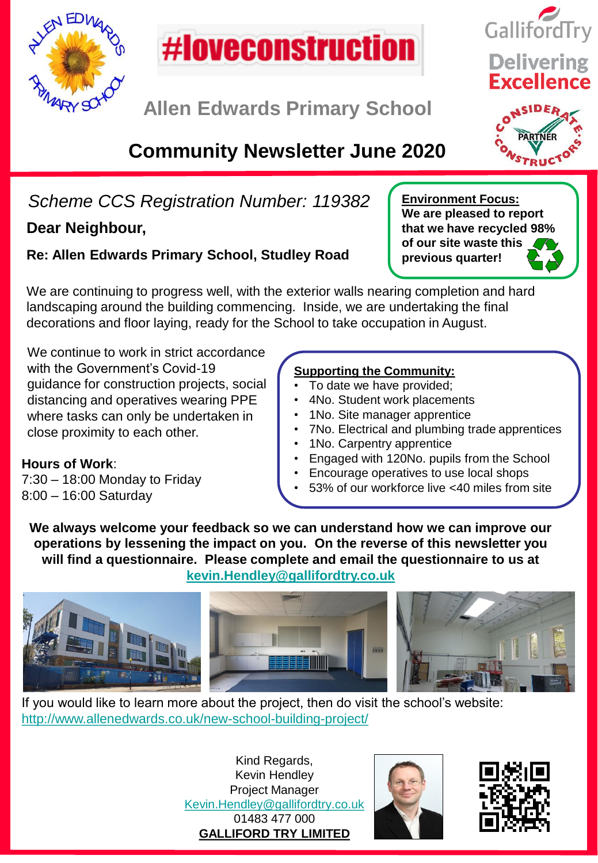



**Allen Edwards Primary School**

# **Community Newsletter June 2020**

# *Scheme CCS Registration Number: 119382*

## **Dear Neighbour,**

**Hours of Work**:

8:00 – 16:00 Saturday

7:30 – 18:00 Monday to Friday

### **Re: Allen Edwards Primary School, Studley Road**

We are continuing to progress well, with the exterior walls nearing completion and hard landscaping around the building commencing. Inside, we are undertaking the final decorations and floor laying, ready for the School to take occupation in August.

We continue to work in strict accordance with the Government's Covid-19 guidance for construction projects, social distancing and operatives wearing PPE where tasks can only be undertaken in close proximity to each other.

#### **Supporting the Community:**

- To date we have provided;
- 4No. Student work placements
- 1No. Site manager apprentice
- 7No. Electrical and plumbing trade apprentices
- 1No. Carpentry apprentice
- Engaged with 120No. pupils from the School
- Encourage operatives to use local shops
- 53% of our workforce live <40 miles from site

**We always welcome your feedback so we can understand how we can improve our operations by lessening the impact on you. On the reverse of this newsletter you will find a questionnaire. Please complete and email the questionnaire to us at [kevin.Hendley@gallifordtry.co.uk](mailto:kevin.Hendley@gallifordtry.co.uk)**



If you would like to learn more about the project, then do visit the school's website: <http://www.allenedwards.co.uk/new-school-building-project/>

> Kind Regards, Kevin Hendley Project Manager [Kevin.Hendley@gallifordtry.co.uk](mailto:Kevin.Hendley@gallifordtry.co.uk) 01483 477 000 **GALLIFORD TRY LIMITED**









**previous quarter!**